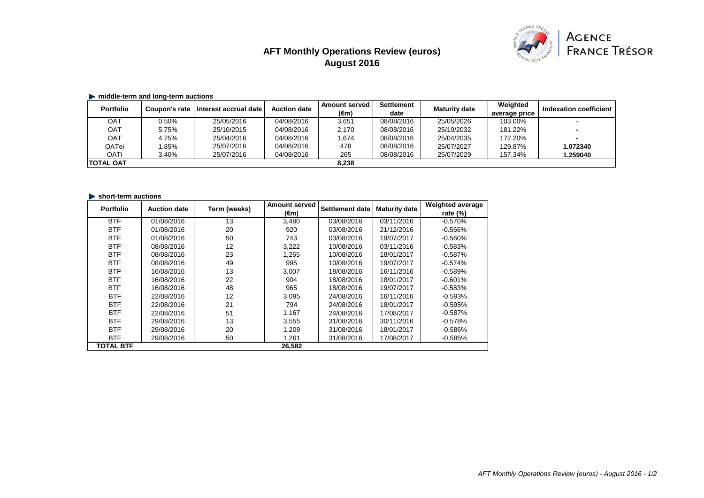# **AFT Monthly Operations Review (euros) August 2016**



## **middle-term and long-term auctions**

| <b>Portfolio</b> | Coupon's rate | Interest accrual date | <b>Auction date</b> | <b>Amount served</b> | <b>Settlement</b> | <b>Maturity date</b> | Weighted      | <b>Indexation coefficient</b> |
|------------------|---------------|-----------------------|---------------------|----------------------|-------------------|----------------------|---------------|-------------------------------|
|                  |               |                       |                     | (€m)                 | date              |                      | average price |                               |
| <b>OAT</b>       | 0.50%         | 25/05/2016            | 04/08/2016          | 3,651                | 08/08/2016        | 25/05/2026           | 103.00%       |                               |
| OAT              | 5.75%         | 25/10/2015            | 04/08/2016          | 2,170                | 08/08/2016        | 25/10/2032           | 181.22%       |                               |
| <b>OAT</b>       | 4.75%         | 25/04/2016            | 04/08/2016          | 1,674                | 08/08/2016        | 25/04/2035           | 172.20%       | $\blacksquare$                |
| <b>OATei</b>     | .85%          | 25/07/2016            | 04/08/2016          | 478                  | 08/08/2016        | 25/07/2027           | 129.87%       | 1.072340                      |
| <b>OATi</b>      | 3.40%         | 25/07/2016            | 04/08/2016          | 265                  | 08/08/2016        | 25/07/2029           | 157.34%       | 1.259040                      |
| <b>TOTAL OAT</b> |               |                       |                     | 8,238                |                   |                      |               |                               |

#### **short-term auctions**

| <b>Portfolio</b> | <b>Auction date</b> | Term (weeks) | <b>Amount served</b> | Settlement date | <b>Maturity date</b> | <b>Weighted average</b> |
|------------------|---------------------|--------------|----------------------|-----------------|----------------------|-------------------------|
|                  |                     |              | $(\epsilon m)$       |                 |                      | rate $(\%)$             |
| <b>BTF</b>       | 01/08/2016          | 13           | 3,480                | 03/08/2016      | 03/11/2016           | $-0.570%$               |
| <b>BTF</b>       | 01/08/2016          | 20           | 920                  | 03/08/2016      | 21/12/2016           | $-0.556\%$              |
| <b>BTF</b>       | 01/08/2016          | 50           | 743                  | 03/08/2016      | 19/07/2017           | $-0.560\%$              |
| <b>BTF</b>       | 08/08/2016          | 12           | 3,222                | 10/08/2016      | 03/11/2016           | $-0.583%$               |
| <b>BTF</b>       | 08/08/2016          | 23           | 1,265                | 10/08/2016      | 18/01/2017           | $-0.587%$               |
| <b>BTF</b>       | 08/08/2016          | 49           | 995                  | 10/08/2016      | 19/07/2017           | $-0.574%$               |
| <b>BTF</b>       | 16/08/2016          | 13           | 3,007                | 18/08/2016      | 16/11/2016           | $-0.589%$               |
| <b>BTF</b>       | 16/08/2016          | 22           | 904                  | 18/08/2016      | 18/01/2017           | $-0.601%$               |
| <b>BTF</b>       | 16/08/2016          | 48           | 965                  | 18/08/2016      | 19/07/2017           | $-0.583\%$              |
| <b>BTF</b>       | 22/08/2016          | 12           | 3,095                | 24/08/2016      | 16/11/2016           | $-0.593%$               |
| <b>BTF</b>       | 22/08/2016          | 21           | 794                  | 24/08/2016      | 18/01/2017           | $-0.595%$               |
| <b>BTF</b>       | 22/08/2016          | 51           | 1,167                | 24/08/2016      | 17/08/2017           | $-0.587%$               |
| <b>BTF</b>       | 29/08/2016          | 13           | 3,555                | 31/08/2016      | 30/11/2016           | $-0.578%$               |
| <b>BTF</b>       | 29/08/2016          | 20           | 1,209                | 31/08/2016      | 18/01/2017           | $-0.586%$               |
| <b>BTF</b>       | 29/08/2016          | 50           | 1,261                | 31/08/2016      | 17/08/2017           | $-0.585%$               |
| <b>TOTAL BTF</b> |                     |              | 26,582               |                 |                      |                         |